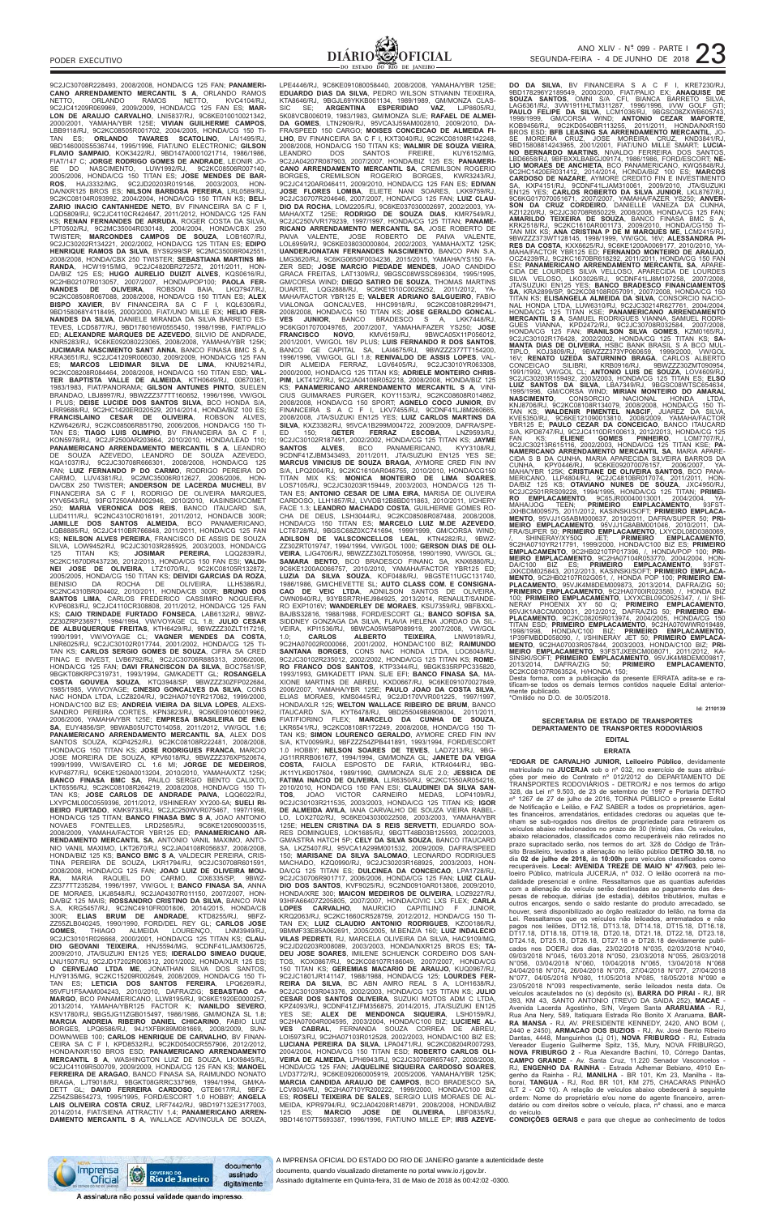

9C2JC30708R228493, 2008/2008, HONDA/CG 125 FAN; **PANAMERI-CANO ARRENDAMENTO MERCANTIL S A**, ORLANDO RAMOS NETTO, ORLANDO RAMOS NETTO, KVC4104/RJ, 9C2JC41209R069969, 2009/2009, HONDA/CG 125 FAN ES; **MAR-LON DE ARAUJO CARVALHO**, LNI5837/RJ, 9C6KE010010021342, 2000/2001, YAMAHA/YBR 125E; **VIVIAN GUILHERME CAMPOS**, LBB9118/RJ, 9C2KC08505R001702, 2004/2005, HONDA/CG 150 TI-TAN ES; **ORLANDO TAVARES SCATOLINO**, LAI1495/RJ, 9BD146000S5536744, 1995/1996, FIAT/UNO ELECTRONIC; **GILSON FLAVIO SAMPAIO**, KOK3422/RJ, 9BD147A0001021714, 1986/1986, FIAT/147 C; **JORGE RODRIGO GOMES DE ANDRADE**, LEONIR JO-SE DO NASCIMENTO, LUW1992/RJ, 9C2KC08506R007140, 2005/2006, HONDA/CG 150 TITAN ES; **JOSE MENDES DE BAR-ROS**, HAJ3332/MG, 9C2JD20203R019146, 2003/2003, HON-DA/NXR125 BROS ES; **NILSON BARBOSA PEREIRA**, LRL0589/RJ, 9C2KC08104R093992, 2004/2004, HONDA/CG 150 TITAN KS; **BELI-ZARIO INACIO CANTANHEDE NETO**, BV FINANCEIRA SA C F I, LQD5809/RJ, 9C2JC4110CR424647, 2011/2012, HONDA/CG 125 FAN KS; **RENAN FERNANDES DE ARRUDA**, ROGER COSTA DA SILVA, LPT0502/RJ, 9C2MC35004R030148, 2004/2004, HONDA/CBX 250 TWISTER; **MARCONDES CAMPOS DE SOUZA**, LOB1607/RJ, 9C2JC30202R134221, 2002/2002, HONDA/CG 125 TITAN ES; **EDIPO HENRIQUE RAMOS DA SILVA**, BYS9299/SP, 9C2MC35008R042551, 2008/2008, HONDA/CBX 250 TWISTER; **SEBASTIANA MARTINS MI-RANDA**, HCW1915/MG, 9C2JC4820BR272572, 2011/2011, HON-DA/BIZ 125 ES; **HUGO AURELIO DUIZIT ALVES**, KQS0616/RJ, 9C2HB02107R013057, 2007/2007, HONDA/POP100; **PAOLA FER-NANDES DE OLIVEIRA**, ROBSON BAIA, LKQ7947/RJ, 9C2KC08508R067088, 2008/2008, HONDA/CG 150 TITAN ES; **ALEX BISPO XAVIER**, BV FINANCEIRA SA C F I, KQL6306/RJ, 9BD158068Y4118495, 2000/2000, FIAT/UNO MILLE EX; **HELIO FER-NANDES DA SILVA**, DANIELE MIRANDA DA SILVA BARRETO ES-TEVES, LCD5877/RJ, 9BD178016W0555450, 1998/1998, FIAT/PALIO ED; **ALEXANDRE MARQUES DE AZEVEDO**, SILVIO DE ANDRADE, KNR5283/RJ, 9C6KE092080223065, 2008/2008, YAMAHA/YBR 125K; **JUCIMARA NASCIMENTO SANT ANNA**, BANCO FINASA BMC S A KRA3651/RJ, 9C2JC41209R006030, 2009/2009, HONDA/CG 125 FAN ES; **MARCOS LEIDIMAR SILVA DE LIMA**, KNU9214/RJ, 9C2KC08208R084464, 2008/2008, HONDA/CG 150 TITAN ESD; **VAL-TER BAPTISTA VALLE DE ALMEIDA**, KTH0649/RJ, 00670361, 1983/1983, FIAT/PANORAMA; **GILSON ANTUNES PINTO**, SUELEN BRANDAO, LBJ8997/RJ, 9BWZZZ377TT160652, 1996/1996, VW/GOL I PLUS; **DEISE LUCIDE DOS SANTOS SILVA**, BCO HONDA S/A, LRR9688/RJ, 9C2HC1420ER020529, 2014/2014, HONDA/BIZ 100 ES; **FRANCISLAINO CESAR DE OLIVEIRA**, ROBSON ALVES, KZW6426/RJ, 9C2KC08506R851790, 2006/2006, HONDA/CG 150 TI-TAN ES; **TIAGO LUIS OLIMPIO**, BV FINANCEIRA SA C F I, KON5978/RJ, 9C2JF2500AR203664, 2010/2010, HONDA/LEAD 110; **PANAMERICANO ARRENDAMENTO MERCANTIL S A**, LEANDRO DE SOUZA AZEVEDO, LEANDRO DE SOUZA AZEVEDO, KQA1037/RJ, 9C2JC30708R666301, 2008/2008, HONDA/CG 125 FAN; **LUIZ FERNANDO P DO CARMO**, RODRIGO PEREIRA DO CARMO, LUV4381/RJ, 9C2MC35006R012627, 2006/2006, HON-DA/CBX 250 TWISTER; **ANDERSON DE LACERDA MUCHELI**, BV FINANCEIRA SA C F I, RODRIGO DE OLIVEIRA MARQUES, KYV6543/RJ, 93FGT250AAM002946, 2010/2010, KASINSKI/COMET 250; **MARIA VERONICA DOS REIS**, BANCO ITAUCARD S/A, LUD4111/RJ, 9C2NC4310CR016191, 2011/2012, HONDA/CB 300R; **JAMILLE DOS SANTOS ALMEIDA**, BCO PANAMERICANO, LQB8885/RJ, 9C2JC4110BR766848, 2011/2011, HONDA/CG 125 FAN KS; **NEILSON ALVES PEREIRA**, FRANCISCO DE ASSIS DE SOUZA SILVA, LOW9452/RJ, 9C2JC30103R285925, 2003/2003, HONDA/CG<br>125 TITAN KS; JOSIMAR PEREIRA, LQQ2839/RJ, 125 TITAN KS; **JOSIMAR PEREIRA**, LQQ2839/RJ, 9C2KC1670DR437236, 2012/2013, HONDA/CG 150 FAN ESI; **VALDI-NEI JOSE DE OLIVEIRA**, LTZ1070/RJ, 9C2KC08105R132872, 2005/2005, HONDA/CG 150 TITAN KS; **DEIVIDI GARCIAS DA ROZA**, BENISIO DA ROCHA DE OLIVEIRA, LLH5386/RJ, 9C2NC4310BR004402, 2010/2011, HONDA/CB 300R; **BRUNO DOS SANTOS LIMA**, CARLOS FREDERICO CASSIMIRO NOGUEIRA, KVP6083/RJ, 9C2JC4110CR308808, 2011/2012, HONDA/CG 125 FAN KS; **CAIO TRINDADE FURTADO FONSECA**, LAB6132/RJ, 9BWZ-ZZ30ZRP236971, 1994/1994, VW/VOYAGE CL 1.8; **JULIO CESAR<br>DE ALBUQUERQUE FREITAS**, KTH6429/RJ, 9BWZZZ30ZLT117216,<br>1990/1991, VW/VOYAGE CL; **VAGNER MENDES DA COSTA,**<br>LNR6025/RJ, 9C2JC30102R017744, 2001/2002, HONDA/CG 125 TI-FINAC E INVEST, LVB6792/RJ, 9C2JC30706R885313, 2006/2006, HONDA/CG 125 FAN; **DAVI FRANCISCON DA SILVA**, BOC7581/SP, 9BGKT08KRPC319731, 1993/1994, GM/KADETT GL; **ROSANGELA COSTA GOUVEA SOUZA**, KTQ3948/SP, 9BWZZZ30ZFP022684, 1985/1985, VW/VOYAGE; **CINESIO GONCALVES DA SILVA**, CONS NAC HONDA LTDA, LCZ8204/RJ, 9C2HA0710YR217062, 1999/2000, HONDA/C100 BIZ ES; **ANDREIA VIEIRA DA SILVA LOPES**, ALEXS-SANDRO PEREIRA CORTES, KPN3823/RJ, 9C6KE091060019962 2006/2006, YAMAHA/YBR 125E; **EMPRESA BRASILEIRA DE ENG SA**, EUY4856/SP, 9BWAB05U7CT014058, 2011/2012, VW/GOL 1.6; **PANAMERICANO ARRENDAMENTO MERCANTIL SA**, ALEX DOS SANTOS SOUZA, KQP4252/RJ, 9C2KC08108R222481, 2008/2008, HONDA/CG 150 TITAN KS; **JOSE RODRIGUES FRANCA**, MARCIO JOSE MOREIRA DE SOUZA, KPV6018/RJ, 9BWZZZ376XP520674, 1999/1999, VW/SAVEIRO CL 1.6 MI; **JORGE DE MEDEIROS**, KVP4877/RJ, 9C6KE1260A0013204, 2010/2010, YAMAHA/XTZ 125K; **BANCO FINASA BMC SA**, PAULO SERGIO BENTO CALIXTO, LKT6556/RJ, 9C2KC08108R264219, 2008/2008, HONDA/CG 150 TI-TAN KS; **JOSE CARLOS DE ANDRADE PAIVA**, LQQ6022/RJ,<br>LXYPCML00C0559396, 2011/2012, I/SHINERAY XY200-5A; **SUELI RI-**<br>BEIRO FURTADO, KMK9733/RJ, 9C2JC250WVR075467, 1997/1998,<br>HONDA/CG 125 TITAN; BANCO FINASA BMC S A, JOAO ANT NOVAES FONTELLES, LRD2585/RJ, 9C6KE120090003515, 2008/2009, YAMAHA/FACTOR YBR125 ED; **PANAMERICANO AR-RENDAMENTO MERCANTIL SA**, ANTONIO VANIL MAXIMO, ANTO-NIO VANIL MAXIMO, LKT2670/RJ, 9C2JA04108R056837, 2008/2008, HONDA/BIZ 125 KS; **BANCO BMC S A**, VALDECIR PEREIRA, CRIS-TINA PEREIRA DE SOUZA, LKR1794/RJ, 9C2JC30708R601591, 2008/2008, HONDA/CG 125 FAN; **JOAO LUIZ DE OLIVEIRA MOU-RA**, MARIA RAQUEL DO CARMO, CIX6335/SP, 9BWZ-ZZ377TT235284, 1996/1997, VW/GOL I; **BANCO FINASA SA**, ANNA DE MORAES, LKJ8548/RJ, 9C2JA04307R011150, 2007/2007, HON-DA/BIZ 125 MAIS; **ROSSANDRO CRISTINO DA SILVA**, BANCO PAN S.A, KRG5457/RJ, 9C2NC4910FR001806, 2014/2015, HONDA/CB 300R; **ELIAS BRUM DE ANDRADE**, KTD8255/RJ, 9BFZ-ZZ55ZLB040245, 1990/1990, FORD/DEL REY GL; **CARLOS JOSE GOMES**, THIAGO ALMEIDA LOURENÇO, LNM3949/RJ, 9C2JC30101R026668, 2000/2001, HONDA/CG 125 TITAN KS; **CLAU-DIO GEOVANI TEIXEIRA**, HNJ5594/MG, 9CDNF41LJAM306725, 2009/2010, JTA/SUZUKI EN125 YES; **IDERALDO SIMEAO DUQUE**, LNU1507/RJ, 9C2JD17202R006312, 2001/2002, HONDA/XLR 125 ES; **O CERVEJAO LTDA ME**, JONATHAN SILVA DOS SANTOS, HJY9135/MG, 9C2KC15209R002649, 2008/2009, HONDA/CG 150 TI-TAN ES; **LETICIA DOS SANTOS FEREIRA**, LPQ6269/RJ, 95VFU1F5AAM004243, 2010/2010, DAFRA/ZIG; **SEBASTIAO CA-MARGO**, BCO PANAMERICANO, LLW8195/RJ, 9C6KE1920E0000257, 2013/2014, YAMAHA/YBR125 FACTOR K; **IVANILDO SEVERO**, KSV1780/RJ, 9BG5JG11ZGB015497, 1986/1986, GM/MONZA SL 1.8; **MARCIA ANDREIA RIBEIRO DANIEL CHICARINO**, FABIO LUIZ BORGES, LPQ6586/RJ, 94J1XFBK89M081669, 2008/2009, SUN-DOWN/WEB 100; **CARLOS HENRIQUE DE CARVALHO**, BV FINAN-CEIRA SA C F I, KPD8532/RJ, 9C2KD0540CR557906, 2012/2012, HONDA/NXR150 BROS ESD; **PANAMERICANO ARRENDAMENTO MERCANTIL S A**, WASHINGTON LUIZ DE SOUZA, LKX9845/RJ, 9C2JC41109R500709, 2009/2009, HONDA/CG 125 FAN KS; **MANOEL FERREIRA DE ARAGAO**, BANCO FINASA SA, RAIMUNDO NONATO BRAGA, LJT9018/RJ, 9BGKT08GRRC337969, 1994/1994, GM/KA-DETT GL; **DAVID FERREIRA CARDOSO**, GTE8617/RJ, 9BFZ-ZZ54ZSB654273, 1995/1995, FORD/ESCORT 1.0 HOBBY; **ANGELA LAIS OLIVEIRA COSTA CRUZ**, LRF7442/RJ, 9BD197132E3177003, 2014/2014, FIAT/SIENA ATTRACTIV 1.4; **PANAMERICANO ARREN-DAMENTO MERCANTIL S A**, WALLACE ADVINCULA DE SOUZA,

LPE4446/RJ, 9C6KE091080058440, 2008/2008, YAMAHA/YBR 125E;<br>**EDUARDO DIAS DA SILVA**, PEDRO WILSON STIVANIN TEIXEIRA,<br>KTA8646/RJ, 9BGJL69YKKB061134, 1989/1989, GM/MONZA CLAS-SIC SE; **ARGENTINA ESPERIDIAO VAZ**, LJP8605/RJ, 5K08VCB006019, 1983/1983, GM/MONZA SL/E; **RAFAEL DE ALMEI-DA GOMES**, LTN2909/RJ, 95VCA3J59AM002810, 2009/2010, DA-FRA/SPEED 150 CARGO; **MOISES CONCEICAO DE ALMEIDA FI-LHO**, BV FINANCEIRA SA C F I, KXT3040/RJ, 9C2KC08108R142248, 2008/2008, HONDA/CG 150 TITAN KS; **WALMIR DE SOUZA VIEIRA**, LEANDRO DOS SANTOS FREIRE, KUY6152/MG, 9C2JA04207R087903, 2007/2007, HONDA/BIZ 125 ES; **PANAMERI-CANO ARRENDAMENTO MERCANTIL SA**, CREMILSON ROGERIO BORGES, CREMILSON ROGERIO BORGES, KWR3243/RJ, 9C2JC4120AR046411, 2009/2010, HONDA/CG 125 FAN ES; **EDIVAN JOSE FLORES LOMBA**, ELIETE NANI SOARES, LKK9759/RJ, 9C2JC30707R204646, 2007/2007, HONDA/CG 125 FAN; **LUIZ CLAU-DIO DA ROCHA**, LOM2205/RJ, 9C6KE037030002697, 2002/2003, YA-MAHA/XTZ 125E; **RODRIGO DE SOUZA DIAS**, KMR7549/RJ, 9C2JC250VVR179239, 1997/1997, HONDA/CG 125 TITAN; **PANAME-RICANO ARRENDAMENTO MERCANTIL SA**, JOSE ROBERTO DE PAIVA VALENTE, JOSE ROBERTO DE PAIVA VALENTE, LOL6959/RJ, 9C6KE038030000804, 2002/2003, YAMAHA/XTZ 125K; **UANDERJONATAN FERNANDES NASCIMENTO**, BANCO PAN S.A, LMG3620/RJ, 9C6KG0650F0034236, 2015/2015, YAMAHA/YS150 FA-ZER SED; **JOSE MARCIO PIEDADE MENDES**, JOAO CANDIDO GRACA FREITAS, LAT1309/RJ, 9BGSC08WSSC696304, 1995/1995, GM/CORSA WIND; **DIEGO SATIRO DE SOUZA**, THOMAS MARTINS DUARTE, LQG2888/RJ, 9C6KE1510C0029252, 2011/2012, YA-MAHA/FACTOR YBR125 E; **VALBER ADRIANO SALGUEIRO**, FABIO VIALONGA GONCALVES, HHC9918/RJ, 9C2KC08108R299471, 2008/2008, HONDA/CG 150 TITAN KS; **JOSE GERALDO GONCAL-VES JUNIOR**, BANCO BRADESCO S A, LKK7448/RJ, 9C6KG017070049765, 2007/2007, YAMAHA/FAZER YS250; **JOSE FRANCISCO NOVO**, KMV6159/RJ, 9BWCA05X11P056012, 2001/2001, VW/GOL 16V PLUS; **LUIS FERNANDO R DOS SANTOS**, BANCO GE CAPITAL SA, LAI4675/RJ, 9BWZZZ377TT154200, 1996/1996, VW/GOL GLI 1.8; **RENIVALDO DE ASSIS LOPES**, VAL-DIR ALMEIDA FERRAZ, LGV6405/RJ, 9C2JC3010YR063308, 2000/2000, HONDA/CG 125 TITAN KS; **ADRIELE MONTEIRO CHRIS-PIM**, LKT4127/RJ, 9C2JA04108R052218, 2008/2008, HONDA/BIZ 125 KS; **PANAMERICANO ARRENDAMENTO MERCANTIL S A**, VINI-CIUS GUIMARAES PURGER, KOY1153/RJ, 9C2KC08608R014862, 2008/2008, HONDA/CG 150 SPORT; **AGNELO COCO JUNIOR**, BV FINANCEIRA S A C F I, LKV7455/RJ, 9CDNF41LJ8M260665, 2008/2008, JTA/SUZUKI EN125 YES; **LUIZ CARLOS MARTINS DA SILVA**, KXZ3382/RJ, 95VCA1B299M004722, 2009/2009, DAFRA/SPE-ED 150; **GETER FERRAZ ESCOBA**, LNZ9593/RJ, 9C2JC30102R187491, 2002/2002, HONDA/CG 125 TITAN KS; **JAYME SANTOS ALVES,** BCO PANAMERICANO, KYY3108/RJ 9CDNF41ZJBM343493, 2011/2011, JTA/SUZUKI EN125 YES SE; **MARCUS VINICIUS DE SOUZA BRAGA**, AYMORE CRED FIN INV S/A, LPQ2004/RJ, 9C2KC1610AR046755, 2010/2010, HONDA/CG150 TITAN MIX KS; **MONICA MONTEIRO DE LIMA SOARES**, LOS7105/RJ, 9C2JC30203R159449, 2003/2003, HONDA/CG 125 TI-TAN ES; **ANTONIO CESAR DE LIMA EIRA**, MARISA DE OLIVEIRA CARDOSO, LLH1857/RJ, LVVDB12B8BD011863, 2010/2011, I/CHERY FACE 1.3; **LEANDRO MACHADO COSTA**, GUILHERME GOMES RO-CHA DE DEUS, LSH3044/RJ, 9C2KC08508R087488, 2008/2008, HONDA/CG 150 TITAN ES; **MARCELO LUIZ M.DE AZEVEDO**, LCT6728/RJ, 9BGSC68Z0XC741694, 1999/1999, GM/CORSA WIND; **ADILSON DE VALSCONCELLOS LEAL**, KTN4282/RJ, 9BWZ-ZZ30ZRT019747, 1994/1994, VW/GOL 1000; **GERSON DIAS DE OLI-VEIRA**, LJG4706/RJ, 9BWZZZ30ZLT050958, 1990/1990, VW/GOL GL; **SAMARA BENTO**, BCO BRADESCO FINANC SA, KNX6880/RJ, 9C6KE1200A0066757, 2010/2010, YAMAHA/FACTOR YBR125 ED; **LUZIA DA SILVA SOUZA**, KOF0488/RJ, 9BG5TE11UGC131740, 1986/1986, GM/CHEVETTE SL; **AUTO CLASS COM. E CONSIGNA-CAO DE VEIC LTDA**, ADNILSON SANTOS DE OLIVEIRA, OWN0940/RJ, 93YBSR7RHEJ984925, 2013/2014, RENAULT/SANDE-RO EXP1016V; **WANDERLEY DE MORAES**, KSU7359/RJ, 9BFBXXL-BAJBS32816, 1988/1988, FORD/ESCORT GL; **BANCO SOFISA SA**, SIDDNEY GONZAGA DA SILVA, FLAVIA HELENA JORDAO DA SIL-VEIRA, KPI1536/RJ, 9BWCA05W58P089919, 2007/2008, VW/GOL 1.0; **CARLOS ALBERTO TEIXEIRA**, LNW9189/RJ, 9C2HA07002R000066, 2001/2002, HONDA/C100 BIZ; **RAIMUNDO SANTANA BORGES**, CONS NAC HONDA LTDA, LOC6048/RJ, 9C2JC30102R235012, 2002/2002, HONDA/CG 125 TITAN KS; **ROME-RO FRANCO DOS SANTOS**, KTP3344/RJ, 9BGKS35RPPC335820, 1993/1993, GM/KADETT IPAN. SL/E EFI; **BANCO FINASA SA**, MA-XIONE MARTINS DE ABREU, KXD0667/RJ, 9C6KE091070027849, 2006/2007, YAMAHA/YBR 125E; **PAULO JOAO DA COSTA SILVA**, ELIAS MORAES, KMS0445/RJ, 9C2JD170VVR001225, 1997/1997, HONDA/XLR 125; **WELTON WALLACE RIBEIRO DE BRUM**, BANCO ITAUCARD S/A, KYT6478/RJ, 9BD255049B8908004, 2011/2011, FIAT/FIORINO FLEX; **MARCELO DA CUNHA DE SOUZA**, LKR6541/RJ, 9C2KC08108R172249, 2008/2008, HONDA/CG 150 TI-TAN KS; **SIMON LOURENCO GERALDO**, AYMORE CRED FIN INV S/A, KTV0099/RJ, 9BFZZZ54ZPB441891, 1993/1994, FORD/ESCORT 1.0 HOBBY; **NELSON SOARES DE TEVES**, LAD7213/RJ, 9BG-JG11RRRB061677, 1994/1994, GM/MONZA GL; **JANETE DA VEIGA**<br>**COSTA, F**AIOLA ESPOSTO DE FARIA, KTR4044/RJ, 9BG-<br>JK11YLKB017604, 1989/1990, GM/MONZA SL/E 2.0; JESSICA DE<br>**FATIMA INACIO DE OLIVEIRA**, LLR6350/RJ, 9C2KC1550AR0542 2010/2010, HONDA/CG 150 FAN ESI; **CLAUDINEI DA SILVA SAN-TOS**, JOAO VICTOR CARNEIRO MEDAS, LOP4109/RJ, 9C2JC30103R211535, 2003/2003, HONDA/CG 125 TITAN KS; **IGOR DE ALMEIDA AVILA**, IANA CARVALHO DE SOUZA VIEIRA RABEL-LO, LOX2702/RJ, 9C6KE043030022508, 2003/2003, YAMAHA/YBR 125E; **HELEN CRISTINA DA S REIS SERVETTI**, EDUARDO SOA-RES DOMINGUES, LOK1685/RJ, 9BGTT48B03B125593, 2002/2003, GM/ASTRA HATCH 5P; **CELY DA SILVA SOUZA**, BANCO ITAUCARD SA, LKZ5407/RJ, 95VCA1A299M001532, 2009/2009, DAFRA/SPEED 150; **MARISANE DA SILVA SALOMAO**, LEONARDO RODRIGUES MACHADO, KZQ0990/RJ, 9C2JC30203R168925, 2003/2003, HON-DA/CG 125 TITAN ES; **DULCINEA DA CONCEICAO**, LPA1728/RJ, 9C2JC30706R901717, 2006/2006, HONDA/CG 125 FAN; **LUIZ CLAU-DIO DOS SANTOS**, KVF9025/RJ, 9C2ND0910AR013806, 2009/2010, HONDA/XRE 300; **MAICON MEDEIROS DE OLIVEIRA**, LOZ9227/RJ, 93HFA66407Z205805, 2007/2007, HONDA/CIVIC LXS FLEX; **CARLA LOPES CARVALHO**, MAURICIO CAPITILINO F JUNIOR, KRQ2063/RJ, 9C2KC1660CR528759, 2012/2012, HONDA/CG 150 TI-TAN EX; **LUIZ CLAUDIO ANTONIO RODRIGUES**, KZO0186/RJ, 9BMMF33E85A062691, 2005/2005, M.BENZ/A 160; **LUIZ INDALECIO VILAS PEDRETI**, RJ, MARCELA OLIVEIRA DA SILVA, HAC9109/MG, 9C2JD20203R008089, 2003/2003, HONDA/NXR125 BROS ES; **TA-DEU JOSE SOARES**, IMILENE SCHUENCK CORDEIRO DOS SAN-TOS, KOX0867/RJ, 9C2KC08107R186049, 2007/2007, HONDA/CG 150 TITAN KS; **GEREMIAS MACARIO DE ARAUJO**, KUQ0967/RJ, 9C2JC1801JR141147, 1988/1988, HONDA/CG 125; **LOURDES FER-REIRA DA SILVA**, BC ABN AMRO REAL S A, LOH1638/RJ, 9C2JC30103R043376, 2002/2003, HONDA/CG 125 TITAN KS; **JULIO CESAR DOS SANTOS OLIVEIRA**, SUZUKI MOTOS ADM C LTDA, KPZ4093/RJ, 9CDNF41ZJFM356875, 2014/2015, JTA/SUZUKI EN125 YES SE; **ALEX DE MENDONCA SIQUEIRA**, LSH0159/RJ, 9C2HA07004R004595, 2003/2004, HONDA/C100 BIZ; **LUCIENE AL-VES CABRAL**, FERNANDA SOUZA CORREA DE ABREU, LOI5973/RJ, 9C2HA07103R012528, 2002/2003, HONDA/C100 BIZ ES; **LUCIANA PEREIRA DA SILVA**, LPA0471/RJ, 9C2KC08204R007293, 2004/2004, HONDA/CG 150 TITAN ESD; **ROBERTO CARLOS OLI-VEIRA DE ALMEIDA**, LPH6943/RJ, 9C2JC30708R657467, 2008/2008, HONDA/CG 125 FAN; **JAQUELINE SIQUEIRA CARDOSO SOARES**, LVD3772/RJ, 9C6KE092060005919, 2005/2006, YAMAHA/YBR 125K; **MARCIA CANDIDA ARAUJO DE CAMPOS**, BCO BRADESCO SA, LCV8034/RJ, 9C2HA0710YR200222, 1999/2000, HONDA/C100 BIZ ES; **ROSELI TEIXEIRA DE SALES**, SERGIO LUIS MORAES DE AL-MEIDA, KPR9794/RJ, 9C2JA04208R148791, 2008/2008, HONDA/BIZ<br>125 FS: **MARCIO JOSE DE OLIVEIRA** LIBE0835/RJ 125 ES: **MARCIO JOSE DE OLIVEIRA**. 9BD146107T5693387, 1996/1996, FIAT/UNO MILLE EP; **IRIS AZEVE-**

**DO DA SILVA**, BV FINANCEIRA S A C F I, KRE7230/RJ,<br>9BD178296Y2189549, 2000/2000, FIATIPALIO EX; ANAQUISE DE<br>SOUZA SANTOS, OMNI S/A CFI, BIANCA BARRETO SILVA,<br>LAG6361/RJ, 3VW1911HLTM311287, 1996/1996, I/VW GOLF GTI;<br>**PAULO** SE MOREIRA CRUZ, JOSE MOREIRA CRUZ, KND3841/RJ,<br>9BD15808814243965, 2001/2001, FIAT/UNO MILLE SMART; LUCIA-<br>NO BERNARDO MARTINS, NIVALDO FERREIRA DOS SANTOS,<br>LBD6658/RJ, 9BFBXXLBABGJ09174, 1986/1986, FORD/ESCORT; NE-<br>LIO MO 9C6KG017070051671, 2007/2007, YAMAHA/FAZER YS250; **ANVER-**<br>**SON DA CRUZ CORDEIRO**, DANIELLE VANEZA DA CUNHA,<br>KZI1220/RJ, 9C2JC30708R650229, 2008/2008, HONDA/CG 125 FAN;<br>**AMARILDO TEIXEIRA DE SOUZA**, BANCO FINASA BMC S A,<br>K 9BWZZZ373WT128145, 1998/1999, VW/GOL 16V; **ALESSANDRA PI-RES DA COSTA**, KXX6625/RJ, 9C6KE1200A0069177, 2010/2010, YA-MAHA/FACTOR YBR125 ED; **FERNANDO MONTEIRO DE ARAUJO**, OCZ4239/RJ, 9C2KC1670BR618292, 2011/2011, HONDA/CG 150 FAN ESI; **PANAMERICANO ARRENDAMENTO MERCANTIL SA**, APARE-CIDA DE LOURDES SILVA VELLOSO, APARECIDA DE LOURDES<br>SILVA VELOSO LIKO3026/R.L. 9CDNE41L.I8M107258 - 2007/2008 SILVA VELOSO, LKO3026/RJ, 9CDNF41LJ8M107258, 2007/2008,<br>JTA/SLJZUKI EN125 YES; **BANCO BRADESCO FINANCIAMENTOS**<br>**SA**, KRA2899/SP, 9C2KC08108R057091, 2007/2008, HONDA/CG 150<br>TITAN KS; **ELISANGELA ALMEIDA DA SILVA**, CONSORCIO **MERCANTIL S A**, SAMUEL RODRIGUES VIANNA, SAMUEL RODRI-<br>GUES - VIANNA, - KPD2472/RJ, 9C2JC30708R032584, 2007/2008,<br>HONDA/CG-125 FAN; IRANILISON SILVA GOMES, KZM0165/RJ,<br>9C2JC30102R176428, 2002/2002, HONDA/CG-125 TITAN KS; TIPLO, KOJ3809/RJ, 9BWZZZ373YP060659, 1999/2000, VW/GOL<br>16V; **RENATO UZEDA SATURNINO BRAGA**, CARLOS ALBERTO<br>CONCEICAO SILIBRI, KRB0916/RJ, 9BWZZZ30ZMT090954,<br>1991/1992, VW/GOL CL; **ANTONIO LUIS DE SOUZA**, LOV4609/RJ, 9C2JC30203R159492, 2003/2003, HONDA/CG 125 TITAN ES; **ELSO**<br>**LUIZ SANTOS DA SILVA**, LBA7349/RJ, 9BGSC08WTSC654634,<br>1995/1996, GM/CORSA WIND; **MIRIAN MONTEIRO DO AMARA**L **NASCIMENTO**, CONSORCIO MACIONAL HONDA LTDA,<br>KNJ8706/RJ, 9C2KC08108R134079, 2008/2008, HONDA/CG 150 TI-<br>TAN KS; WALDENIR PIMENTEL NASCIF, JUAREZ DA SILVA,<br>KVE5350/RJ, 9C6KE121090013810, 2008/2009, YAMAHA/FACTOR<br>YBR125 E; P FAN KS; **ELIENE GOMES PINHEIRO**, LOM7707/RJ, 9C2JC30213R615116, 2002/2003, HONDA/CG 125 TITAN KSE; **PA-NAMERICANO ARRENDAMENTO MERCANTIL SA**, MARIA APARE-CIDA S B DA CUNHA, MARIA APARECIDA SILVEIRA BARROS DA<br>CUNHA, KPY0446/RJ, 9C6KE092070076157, 2006/2007, YA-<br>MAHA/YBR 125K; **CRISTIANE DE OLIVEIRA SANTOS**, BCO PANA-MERICANO, LLP4804/RJ, 9C2JC4810BR017074, 2011/2011, HON-<br>DA/BIZ 125 KS; OTAVIANO NUNES DE SOUZA, JXC4950/RJ, PROZJC2501RRS09228, 1994/1995, HONDA/CG 125 TITAN; PRIMEIRO<br>RO EMPLACAMENTO, 9C65JR00040013001, 2004/2004, YA-MAH **PLACAMENTO**, 95VJK4M8DEM009873, 2013/2014, DAFRA/ZIG 50; **PRIMEIRO EMPLACAMENTO**, 9C2HA0700IR023580, /, HONDA BIZ 100; **PRIMEIRO EMPLACAMENTO**, LXYXCBL09C0525347, /, I/ SHI-NERAY PHOENIX XY 50 Q; **PRIMEIRO EMPLACAMENTO**, 95VJK1A8CCM000031, 2012/2012, DAFRA/ZIG 50; **PRIMEIRO EM-PLACAMENTO**, 9C2KC08205R013974, 2004/2005, HONDA/CG 150 TITAN ESD; PRIMEIRO EMPLACAMENTO, 9C2HA070WWR019489,<br>1998/1998, HONDA/C100 BIZ; PRIMEIRO EMPLACAMENTO,<br>1P39FMBDD058090, /, I/SHINERAY JET 50; PRIMEIRO EMPLACA-<br>MEIRO EMPLACAMENTO, 93FSTJXEBCM008071, 2011/2012, FRI-<br>MEIRO E 2013/2014, DAFRA/ZIG 50; **PRIMEIRO EMPLACAMENTO**, 9C2KC08107R063524, H/HONDA 150;

Desta forma, com a publicação da presente ERRATA adita-se e ra-tificam-se todos os demais termos contidos naquele Edital anteriormente publicado. \*Omitido no D.O. de 30/05/2018.

**Id: 2110139**

# **SECRETARIA DE ESTADO DE TRANSPORTES DEPARTAMENTO DE TRANSPORTES RODOVIÁRIOS**

# **EDITAL ERRATA**

# **\*EDGAR DE CARVALHO JUNIOR, Leiloeiro Público**, devidamente

matriculado na **JUCERJA** sob o nº 032, no exercício de suas atribui-ções por meio do Contrato nº 012/2012 do DEPARTAMENTO DE TRANSPORTES RODOVIÁRIOS - DETRO/RJ e nos termos do artigo 328, da Lei nº 9.503, de 23 de setembro de 1997 e Portaria DETRO nº 1267 de 27 de julho de 2016, TORNA PÚBLICO o presente Edital de Notificação e Leilão, e FAZ SABER a todos os proprietários, agen-tes financeiros, arrendatários, entidades credoras ou aquelas que tenham se sub-rogados nos direitos de propriedade para retirarem os veículos abaixo relacionados no prazo de 30 (trinta) dias. Os veículos, abaixo relacionados, classificados como recuperáveis não retirados no prazo supracitado serão, nos termos do art. 328 do Código de Trânsito Brasileiro, levados a alienação no leilão público **DETRO 30.18**, no dia 02 de julho de 2018, às 10:00h para recuperáveis. **Local: AVENIDA TREZE DE MAIO N° 47/903**, pelo leiloeiro Público, matrícula JUCERJA, nº 032. O leilão ocorrerá na modalidade presencial e online. Ressaltamos que as quantias auferidas com a alienação do veículo serão destinadas ao pagamento das despesas de reboque, diárias (de estadia), débitos tributários, multas e outros encargos, sendo o saldo restante do produto arrecadado, se houver, será disponibilizado ao órgão realizador do leilão, na forma da Lei. Ressaltamos que os veículos não leiloados, arrematados e não pagos nos leilões, DT12.18, DT13.18, DT14.18, DT15.18, DT16.18, DT17.18, DT18.18, DT19.18, DT20.18, DT21.18, DT22.18, DT23.18, DT24.18, DT25.18, DT26.18, DT27.18 e DT28.18 devidamente publicados nos DOERJ dos dias, 23/02/2018 N°035, 02/03/2018 N°040, 09/03/2018 N°045, 16/03.2018 N°050, 23/03/2018 N°055, 26/03/2018 N°056, 03/04/2018 N°060, 10/04/2018 N°065, 13/04/2018 N°068 24/04/2018 N°074, 26/04/2018 N°076, 27/04/2018 N°077, 27/04/2018 N°077, 04/05/2018 Nº080, 11/05/2018 Nº085, 18/05/2018 N°090 e 23/05/2018 N°093 respectivamente, serão leiloados nesta data. Os veículos acautelados no (s) depósito (s), **BARRA DO PIRAI** - RJ, BR 393, KM 43, SANTO ANTONIO (TREVO DA SAIDA 252), **MACAE** - Avenida Lacerda Agostinho, S/N, Virgem Santa **ARARUAMA** - RJ, Rua Ana Nery, 589, Itatiquara Estrada Rio Bonito X Araruama, **BAR-RA MANSA** - RJ, AV. PRESIDENTE KENNEDY, 2420, ANO BOM (, 2440 e 2450), **ARMACAO DOS BUZIOS** - RJ, Av. José Bento Ribeiro Dantas, 4448, Manguinhos (Lj 01), **NOVA FRIBURGO** - RJ, Estrada Vereador Eugenio Guilherme Spitz, 135, Mury, NOVA FRIBURGO, **NOVA FRIBURGO 2** - Rua Alexandre Bachini, 10, Córrego Dantas, **CAMPO GRANDE** - Av. Santa Cruz, 11.220 Senador Vasconcelos - RJ, **ENGENHO DA RAINHA** - Estrada Adhemar Bebiano, 4910 Engenho da Rainha - RJ, **MANILHA** - BR 101, Km 23, Manilha - Ita-boraí, **TANGUA** - RJ, Rod. BR 101, KM 275, CHACARAS PINHÃO (LT 2 - QD 10). A relação de veículos abaixo obedecerá à seguinte ordem: Nome do proprietário e/ou nome do agente financeiro, arrendatário ou com direitos sobre o veículo, placa, nº chassi, ano e marca do veículo.

**CONDIÇÕES GERAIS** e para que chegue ao conhecimento de todos



A IMPRENSA OFICIAL DO ESTADO DO RIO DE JANEIRO garante a autenticidade deste documento, quando visualizado diretamente no portal www.io.rj.gov.br. Assinado digitalmente em Quinta-feira, 31 de Maio de 2018 às 00:42:02 -0300.

A assinatura não possui validade quando impresso.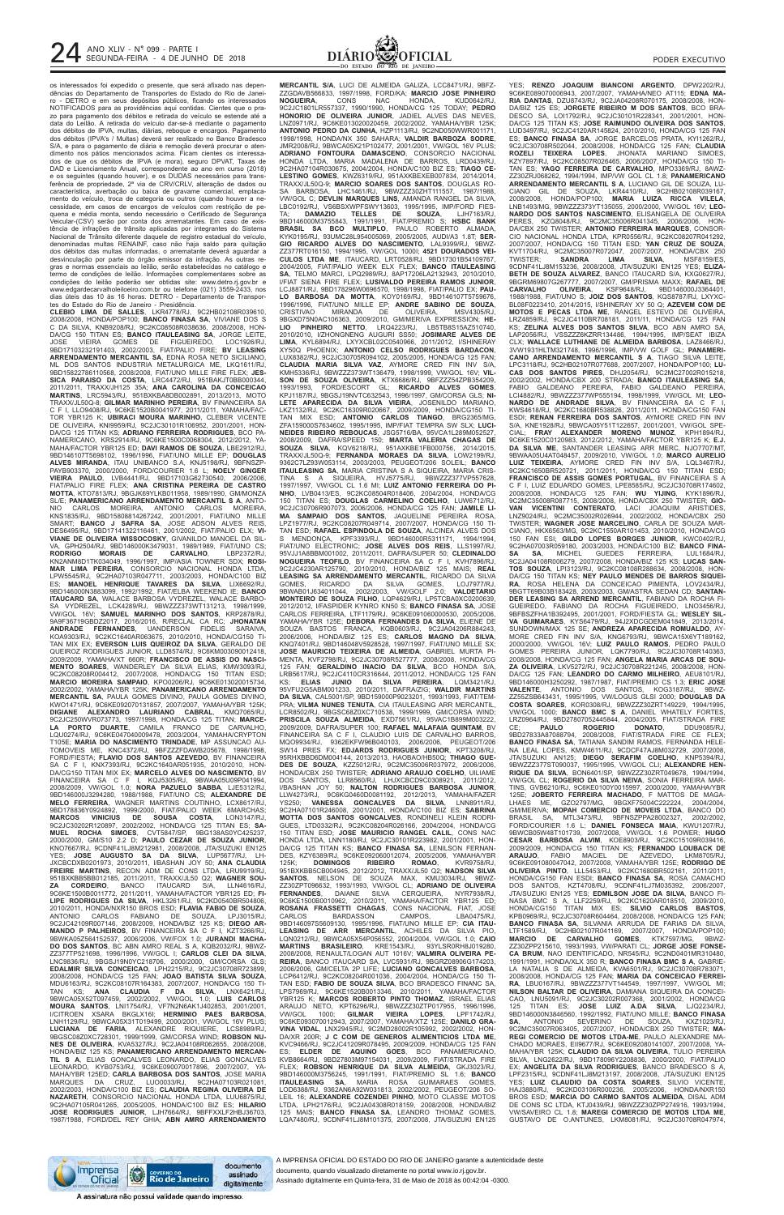

os interessados foi expedido o presente, que será afixado nas dependências do Departamento de Transportes do Estado do Rio de Janeiro - DETRO e em seus depósitos públicos, ficando os interessados NOTIFICADOS para as providências aqui contidas. Cientes que o prazo para pagamento dos débitos e retirada do veículo se estende até a data do Leilão. A retirada do veículo dar-se-á mediante o pagamento dos débitos de IPVA, multas, diárias, reboque e encargos. Pagamento dos débitos (IPVA's / Multas) deverá ser realizado no Banco Bradesco S/A, e para o pagamento de diária e remoção deverá procurar o atendimento nos pátios mencionados acima. Ficam cientes os interessados de que os débitos de IPVA (e mora), seguro DPVAT, Taxas de DAD e Licenciamento Anual, correspondente ao ano em curso (2018) e os seguintes (quando houver), e os DUDAS necessários para transferência de propriedade, 2ª via de CRV/CRLV, alteração de dados ou característica, averbação ou baixa de gravame comercial, emplacamento do veículo, troca de categoria ou outros (quando houver a necessidade, em casos de encargos de veículos com restrição de pequena e média monta, sendo necessário o Certificado de Segurança Veicular-(CSV) serão por conta dos arrematantes. Em caso de exis-tência de infrações de trânsito aplicadas por integrantes do Sistema Nacional de Trânsito diferente daquele de registro estadual do veículo, denominadas multas RENAINF, caso não haja saldo para quitação dos débitos das multas informadas, o arrematante deverá aguardar a desvinculação por parte do órgão emissor da infração. As outras regras e normas essenciais ao leilão, serão estabelecidas no catálogo e termo de condições de leilão. Informações complementares sobre as condições do leilão poderão ser obtidas site: www.detro.rj.gov.br e www.edgardecarvalholeiloeiro.com.br ou telefone (021) 3559-2433, nos dias úteis das 10 às 16 horas. DETRO - Departamento de Transpor-

tes do Estado do Rio de Janeiro - Presidência. **CLEBIO LIMA DE SALLES**, LKR4778/RJ, 9C2HB02108R039610, 2008/2008, HONDA/POP100; **BANCO FINASA SA**, VIVIANE DOS S C DA SILVA, KNB9208/RJ, 9C2KC08508R038636, 2008/2008, HON-DA/CG 150 TITAN ES; **BANCO ITAULEASING SA**, JORGE LEITE,<br>JOSE - VIEIRA - GOMES - DE - FIGUEIREDO, - LOC1926/RJ,<br>9BD17103232191403, 2002/2003, FIAT/PALIO FIRE; **BV LEASING**<br>**ARRENDAMENTO MERCANTIL SA**, EDNA ROSA NETO SICILI ML DOS SANTOS INDUSTRIA METALURGICA ME, LKQ1611/RJ, 9BD15822786110568, 2008/2008, FIAT/UNO MILLE FIRE FLEX; **JES-SICA PARAISO DA COSTA**, LRC4472/RJ, 951BAKJT0BB000344, 2011/2011, TRAXX/JH125 35A; **ANA CAROLINA DA CONCEICAO MARTINS**, LRC5943/RJ, 951BXKBA8DB002891, 2013/2013, MOTO TRAXX/JL50Q-8; **GILMAR MARINHO PEREIRA**, BV FINANCEIRA SA C F I, LLO9408/RJ, 9C6KE1520B0041977, 2011/2011, YAMAHA/FAC-TOR YBR125 K; **UBIRACI MOURA MARINHO**, CLEBER VICENTE DE OLIVEIRA, KNI9959/RJ, 9C2JC30101R106952, 2001/2001, HON-DA/CG 125 TITAN KS; **ADRIANO FERREIRA RODRIGUES**, BCO PA-NAMERICANO, KRS2914/RJ, 9C6KE1500C0068304, 2012/2012, YA-MAHA/FACTOR YBR125 ED; **DAVI RAMOS DE SOUZA**, LBE2912/RJ, 9BD146107T5698102, 1996/1996, FIAT/UNO MILLE EP; **DOUGLAS<br>ALVES MIRANDA**, ITAU UNIBANCO S.A, KNJ5198/RJ, 9BFNSZP-<br>PAYB903370, 2000/2000, FORD/COURIER 1.6 L; N**OELY GINGER**<br>VIEIRA PAULO, LVB4441/RJ, 9BD17103G62730540, 2006/ **MOTTA**, KTO7813/RJ, 9BGJK69YLKB011958, 1989/1990, GM/MONZA SL/E; **PANAMERICANO ARRENDAMENTO MERCANTIL S A**, ANTO-NIO CARLOS MOREIRA, ANTONIO CARLOS MOREIRA,<br>KNS1835/RJ, 9BD15808814267242, 2001/2001, FIAT/UNO MILLE<br>SMART; **BANCO J SAFRA SA**, JOSE ADSON ALVES REIS,<br>DES6495/RJ, 9BD17141322116461, 2001/2002, FIAT/PALIO-ELX; **VI-**VIANE DE OLIVEIRA WISSOCOSKY, GIVANILDO MANOEL DA SIL-<br>VA, GPH2504/RJ, 9BD146000K3479031, 1989/1989, FIAT/UNO CS;<br>RODRIGO - MORAIS - DE - CARVALHO, - LBP2372/RJ,<br>KN2ANM8D1TK034049, 1996/1997, IMP/ASIA TOWNER SDX; ROSI-<br>MAR LPW5545/RJ, 9C2HA07103R047711, 2003/2003, HONDA/C100 BIZ ES; **MANOEL HENRIQUE TAVARES DA SILVA**, LIX6692/RJ, 9BD146000N3883099, 1992/1992, FIAT/ELBA WEEKEND IE; **BANCO ITAUCARD SA**, WALACE BARBOSA VYDREZEL, WALACE BARBO-SA VYDREZEL, LCK4289/RJ, 9BWZZZ373WT131213, 1998/1999, VW/GOL 16V; **SAMUEL MARINHO DOS SANTOS**, KRP2878/RJ, 9A9F36719GBDZ2017, 2016/2016, R/RECLAL CA RC; **JHONATAN ANDRADE FERNANDES**, UANDERSON FIDELIS SARAIVA, KOA9303/RJ, 9C2KC1640AR063675, 2010/2010, HONDA/CG150 TI-TAN MIX EX; **EVERSON LUIS QUEIROZ DA SILVA**, GERALDO DE QUEIROZ RODRIGUES JUNIOR, LLD8574/RJ, 9C6KM003090012418, 2009/2009, YAMAHA/XT 660R; **FRANCISCO DE ASSIS DO NASCI-MENTO SOARES**, WANDERLEY DA SILVA ELIAS, KMW3093/RJ, 9C2KC08208R004412, 2007/2008, HONDA/CG 150 TITAN ESD; **MARCIO MOREIRA SAMPAIO**, KPO0206/RJ, 9C6KE013020015734, 2002/2002, YAMAHA/YBR 125K; **PANAMERICANO ARRENDAMENTO MERCANTIL SA**, PAULA GOMES DIVINO, PAULA GOMES DIVINO, KWO1471/RJ, 9C6KE092070131857, 2007/2007, YAMAHA/YBR 125K; **DIGIANE ALEXANDRO LAURIANO CABRAL**, KMQ7065/RJ, 9C2JC250WVR073773, 1997/1998, HONDA/CG 125 TITAN; **MARCE-LA PORTO DUARTE**, CAMILA FRANCO DE CARVALHO, LQU0274/RJ, 9C6KE047040009478, 2003/2004, YAMAHA/CRYPTON T105E; **MARIA DO NASCIMENTO TRINDADE**, MP ASSUNCAO AU-TOMOVEIS ME, KNC4372/RJ, 9BFZZZFDAWB205678, 1998/1998, FORD/FIESTA; **FLAVIO DOS SANTOS AZEVEDO**, BV FINANCEIRA SA C F I, KNX7393/RJ, 9C2KC1640AR051935, 2010/2010, HON-DA/CG150 TITAN MIX EX; **MARCELO ALVES DO NASCIMENTO**, BV FINANCEIRA SA C F I, KQJ5305/RJ, 9BWAA05U09P041994, 2008/2009, VW/GOL 1.0; **NORA PAZUELO SABBA**, LJE5312/RJ, 9BD146000J3294280, 1988/1988, FIAT/UNO CS; **ALEXANDRE DE MELO FERREIRA**, WAGNER MARTINS COUTINHO, LCX8617/RJ, 9BD178836Y0924892, 1999/2000, FIAT/PALIO WEEK 6MARCHAS; **MARCOS VINICIUS DE SOUSA COSTA**, LON3147/RJ, 9C2JC30202R120897, 2002/2002, HONDA/CG 125 TITAN ES; **SA-MUEL ROCHA SIMOES**, CVT5847/SP, 9BG138AS0YC425237, 2000/2000, GM/S10 2.2 D; **PAULO CEZAR DE SOUZA JUNIOR**, KNO7667/RJ, 9CDNF41LJ8M212981, 2008/2008, JTA/SUZUKI EN125 YES; **JOSE AUGUSTO SA DA SILVA**, LUP5677/RJ, LH-JXCBCDXB0201973, 2010/2011, I/BASHAN JOY 50; **ANA CLAUDIA FREIRE MARTINS**, RECON ADM DE CONS LTDA, LRU9919/RJ, 951BXKBB5BB012185, 2011/2011, TRAXX/JL50 Q2; **WAGNER SOU-ZA CORDEIRO**, BANCO ITAUCARD S/A, LLN4616/RJ, 9C6KE1500B0011772, 2011/2011, YAMAHA/FACTOR YBR125 ED; **FI-LIPE RODRIGUES DA SILVA**, HKL3261/RJ, 9C2KD0540BR504806, 2010/2011, HONDA/NXR150 BROS ESD; **FLAVIA FABIO DE SOUZA**, ANTONIO CARLOS FABIANO DE SOUZA, LPJ3015/RJ, 9C2JC42109R007146, 2008/2009, HONDA/BIZ 125 KS; **DIEGO AR-MANDO P PALHEIROS**, BV FINANCEIRA SA C F I, KZT3266/RJ, 9BWKA05Z564152537, 2006/2006, VW/FOX 1.0; **JURANDI MACHA-DO DOS SANTOS**, BC ABN AMRO REAL S A, KQB2032/RJ, 9BWZ-ZZ377TP521698, 1996/1996, VW/GOL I; **CARLOS CLEI DA SILVA**, LNC9836/RJ, 9BGSJ19N0YC218706, 2000/2000, GM/CORSA GLS; **EDALMIR SILVA CONCEICAO**, LPH2215/RJ, 9C2JC30708R723899, 2008/2008, HONDA/CG 125 FAN; **JOAO BATISTA SILVA SOUZA**, MDU6163/RJ, 9C2KC08107R164383, 2007/2007, HONDA/CG 150 TI-TAN KS; **ANA CLAUDIA F DA SILVA**, LNX6421/RJ, 9BWCA05X52T097459, 2002/2002, VW/GOL 1.0; **LUIS CARLOS MOURA SANTOS**, LNI1754/RJ, VF7N2N6AK1J402853, 2001/2001, I/CITROEN XSARA BKGLX16I; **HERMINIO PAES BARBOSA**, LNH1129/RJ, 9BWCA05X31T019499, 2000/2001, VW/GOL 16V PLUS; **LUCIANA DE FARIA**, ALEXANDRE RIQUIERE, LCS8989/RJ, 9BGSC08Z0XC728301, 1999/1999, GM/CORSA WIND; **ROBSON NU-NES DE OLIVEIRA**, KVA5327/RJ, 9C2JA04108R062655, 2008/2008, HONDA/BIZ 125 KS; **PANAMERICANO ARRENDAMENTO MERCAN-TIL S A**, ELIAS GONCALVES LEONARDO, ELIAS GONCALVES LEONARDO, KYB0753/RJ, 9C6KE090070017896, 2007/2007. MAHA/YBR 125ED; **CARLA BARBOSA DOS SANTOS**, JOSE MARIA CRUZ, LUO0033/RJ, 2002/2003, HONDA/C100 BIZ ES; **CLAUDIA REGINA OLIVEIRA DE NAZARETH**, CONSORCIO NACIONAL HONDA LTDA, LUU6875/RJ, 9C2HA07105R041265, 2005/2005, HONDA/C100 BIZ ES; **HILARIO JOSE RODRIGUES JUNIOR**, LJH7664/RJ, 9BFFXXLF2HBJ36703, 1987/1988, FORD/DEL REY GHIA; **ABN AMRO ARRENDAMENTO**

**MERCANTIL S/A**, LUCI DE ALMEIDA GALIZA, LCC8471/RJ, 9BFZ-ZZGDAVB566833, 1997/1998, FORD/KA; **MARCIO JOSE PINHEIRO NOGUEIRA**, CONS NAC HONDA, KUD0642/RJ, 9C2JC1801LR557337, 1990/1990, HONDA/CG 125 TODAY; **PEDRO HONORIO DE OLIVEIRA JUNIOR**, JADIEL ALVES DAS NEVES, LNZ0971/RJ, 9C6KE013020020459, 2002/2002, YAMAHA/YBR 125K; **ANTONIO PEDRO DA CUNHA**, HZP1113/RJ, 9C2ND050WWR001171, 1998/1998, HONDA/NX 350 SAHARA; **VALDIR BARBOZA SODRE**, JMR2008/RJ, 9BWCA05X21P102477, 2001/2001, VW/GOL 16V PLUS; **ADRIANO FONTOURA DAMASCENO**, CONSORCIO NACIONAL HONDA LTDA, MARIA MADALENA DE BARROS, LRD0439/RJ, 9C2HA07104R030675, 2004/2004, HONDA/C100 BIZ ES; **TIAGO CE-LESTINO GOMES**, KWZ6319/RJ, 951AXKBEXEB007834, 2014/2014, TRAXX/JL50Q-9; **MARCIO SOARES DOS SANTOS**, DOUGLAS RO-SA BARBOSA, LHC1461/RJ, 9BWZZZ30ZHT111557, 1987/1988, VW/GOL C; **DEVLIN MARQUES LINS**, AMANDA RANGEL DA SILVA, LBC0192/RJ, VS6BSXWPFSWY13603, 1995/1995, IMP/FORD FIES-TA; **DAMAZIO TELLES DE SOUZA**, LJH7163/RJ, 9BD146000M3755843, 1991/1991, FIAT/PREMIO S; **HSBC BANK BRASIL SA BCO MULTIPLO**, PAULO ROBERTO ALMADA, KYK0195/RJ, 93UMC28L954005069, 2005/2005, AUDI/A3 1.8T; **SER-GIO RICARDO ALVES DO NASCIMENTO**, LAL9399/RJ, 9BWZ-ZZ377RT016150, 1994/1995, VW/GOL 1000I; **4521 DOURADOS VEI-CULOS LTDA ME**, ITAUCARD, LRT0528/RJ, 9BD17301B54109767, 2004/2005, FIAT/PALIO WEEK ELX FLEX; **BANCO ITAULEASING SA**, TELMO MARCI, LPQ2989/RJ, 8AP17206LA2132943, 2010/2010, I/FIAT SIENA FIRE FLEX; **LUSIVALDO PEREIRA RAMOS JUNIOR**, LCJ8871/RJ, 9BD178296W0696570, 1998/1998, FIAT/PALIO EX; **PAU-LO BARBOSA DA MOTTA**, KOY0169/RJ, 9BD146107T5759676, 1996/1996, FIAT/UNO MILLE EP; **ANDRE SABINO DE SOUZA**, CRISTIVAO MIRANDA DE OLIVEIRA, MSV4305/RJ, 9BGXD75N0AC106363, 2009/2010, GM/MERIVA EXPRESSION; **HE-LIO PINHEIRO NETTO**, LRQ4223/RJ, LB5TB8S15AZ510740, 2010/2010, I/ZHONGNENG AUGURI SS50; **JOSIMARE ALVES DE LIMA**, KYL6894/RJ, LXYXCBL02C0540966, 2011/2012, I/SHINERAY XY50Q PHOENIX; **ANTONIO CELSO RODRIGUES BARDACON**, LUX8382/RJ, 9C2JC30705R094102, 2005/2005, HONDA/CG 125 FAN; **CLAUDIA MARIA SILVA VAZ**, AYMORE CRED FIN INV S/A, KMH5336/RJ, 9BWZZZ373WT136479, 1998/1999, VW/GOL 16V; **VIL-SON DE SOUZA OLIVEIRA**, KTX6686/RJ, 9BFZZZ54ZPB354209, 1993/1993, FORD/ESCORT GL; **RICARDO ALVES GOMES**, KPJ1187/RJ, 9BGSJ19NVTC632543, 1996/1997, GM/CORSA GLS; **NI-LETE APARECIDA DA SILVA VIEIRA**, JOSENILDO MARIANO, LKZ1132/RJ, 9C2KC16309R020667, 2009/2009, HONDA/CG150 TI-TAN MIX ESD; **ANTONIO CARLOS TIANGO**, BRG2365/MG, ZFA159000S7634602, 1995/1995, IMP/FIAT TEMPRA SW SLX; **LUCI-NEIDES RIBEIRO REBOUCAS**, JSG5716/BA, 95VCA1L289M052527, 2008/2009, DAFRA/SPEED 150; **MARTA VALERIA CHAGAS DE SOUZA SILVA**, KQV6218/RJ, 951AXKBE1FB000756, 2014/2015, TRAXX/JL50Q-9; **FERNANDA MORAES DA SILVA**, LOW2199/RJ, 9362C7LZ93W053114, 2003/2003, PEUGEOT/206 SOLEIL; **BANCO ITAULEASING SA**, MARIA CRISTINA S A SIQUEIRA, MARIA CRIS-TINA S A SIQUEIRA, HVJ5775/RJ, 9BWZZZ377VP557628, 1997/1997, VW/GOL CL 1.6 MI; **LUIZ ANTONIO FERREIRA DO PI-NHO**, LVB0413/ES, 9C2KC08504R018406, 2004/2004, HONDA/CG 150 TITAN ES; **DOUGLAS CARMELINO COELHO**, LUW6712/RJ, 9C2JC30706R907073, 2006/2006, HONDA/CG 125 FAN; **JAMILE LI-MA SAMPAIO DOS SANTOS**, JAQUELINE PEREIRA ROSA, LPZ1977/RJ, 9C2KC08207R049714, 2007/2007, HONDA/CG 150 TI-TAN ESD; **RAFAEL ESPINDOLA DE SOUZA**, ALCINEA ALVES DOS S MENDONÇA, KPF3393/RJ, 9BD146000R5311171, 1994/1994, FIAT/UNO ELECTRONIC; **JOSE ALVES DOS REIS**, LLS1997/RJ, 95VJJ1A8BBM001002, 2011/2011, DAFRA/SUPER 50; **CLEDINALDO NOGUEIRA TEOFILO**, BV FINANCEIRA SA C F I, KVH7896/RJ, 9C2JC4230AR125790, 2010/2010, HONDA/BIZ 125 MAIS; **REAL LEASING SA ARRENDAMENTO MERCANTIL**, RICARDO DA SILVA GOMES, RICARDO DA SILVA GOMES, LOJ7977/RJ, 9BWAB01J634011044, 2002/2003, VW/GOLF 2.0; **VALDETARIO MONTEIRO DE SOUZA FILHO**, LQP4629/RJ, LP5TCBA0XC0200639, 2012/2012, I/FASPIDER KYNRO KN50 S; **BANCO FINASA SA**, JOSE CARLOS FERREIRA, LTF1179/RJ, 9C6KE091060000530, 2005/2006, YAMAHA/YBR 125E; **DEBORA FERNANDES DA SILVA**, ELIENE DE SOUZA BASTOS FRANCA, KQB0603/RJ, 9C2JA04206R884243,<br>2006/2006, HONDA/BIZ 125 ES; **CARLOS MAGNO DA SILVA**,<br>KNQ7401/RJ,9BD146048V5928528,1997/1997,FIAT/UNO\_MILLE\_SX; **JOSE MAURICIO TEIXEIRA DE ALMEIDA**, GABRIEL MURTA PI-MENTA, KVF2798/RJ, 9C2JC30708R527777, 2008/2008, HONDA/CG 125 FAN; **GERALDINO INACIO DA SILVA**, BCO HONDA S/A, LRB5617/RJ, 9C2JC4110CR316644, 2011/2012, HONDA/CG 125 FAN KS; **ELIAS JUNIO DA SILVA PEREIRA**, LQM3421/RJ, 95VFU2G5ABM001233, 2010/2011, DAFRA/ZIG; **WALDIR MARTINS DA SILVA**, CAL5001/SP, 9BD159000P9023201, 1993/1993, FIAT/TEM-PRA; **VILMA NUNES TENUTA**, CIA ITAULEASING ARR MERCANTIL, LCR8502/RJ, 9BGSC68Z0XC710538, 1999/1999, GM/CORSA WIND; **PRISCILA SOUZA ALMEIDA**, EXD7561/RJ, 95VAC1B899M003222, 2009/2009, DAFRA/SUPER 100; **RAFAEL MALAFAIA QUINTAM**, BV FINANCEIRA SA C F I, CLAUDIO LUIS DE CARVALHO BARROS, MQO9934/RJ, 9362EKFW96B040103, 2006/2006, PEUGEOT/206 SW14 PRES FX; **EDJARDS RODRIGUES JUNIOR**, KPT3208/RJ, 95RHXBBD6DM004144, 2013/2013, HAOBAO/HB50Q; **THIAGO GUE-DES DE SOUZA**, KZZ5012/RJ, 9C2MC35006R037972, 2006/2006, HONDA/CBX 250 TWISTER; **ADRIANO ARAUJO COELHO**, UILIAME DOS SANTOS, LLR8560/RJ, LHJXCBCD9C0308921, 2011/2012, I/BASHAN JOY 50; **NALTON RODRIGUES BARBOSA JUNIOR**, LLW4273/RJ, 9C6KG0460D0081192, 2012/2013, YAMAHA/FAZER YS250; **VANESSA GONCALVES DA SILVA**, LNN8911/RJ, 9C2HA07101R246008, 2001/2001, HONDA/C100 BIZ ES; **SABRINA MOTTA DOS SANTOS GONCALVES**, RONDINELI KLEIN RODRI-GUES, LTD0332/RJ, 9C2KC08204R026166, 2004/2004, HONDA/CG 150 TITAN ESD; **JOSE MAURICIO RANGEL CALIL**, CONS NAC HONDA LTDA, LNN1180/RJ, 9C2JC30101R223982, 2001/2001, HON-DA/CG 125 TITAN KS; **BANCO FINASA SA**, LENILSON FERNAN-DES, KZY6389/RJ, 9C6KE092060012074, 2005/2006, YAMAHA/YBR 125K; **DOMINGOS RIBEIRO ROMAO**, KVR9758/RJ, 951BXKBB5CB004945, 2012/2012, TRAXX/JL50 Q2; **NADSON SILVA SANTOS**, NELSON DE SOUZA MAX, KMU3034/RJ, 9BWZ-ZZ30ZPT096632, 1993/1993, VW/GOL CL; **ADRIANO DE OLIVEIRA CERQUEIRA, NYR7938/RJ** 9C6KE1500B0010962, 2010/2011, YAMAHA/FACTOR YBR125 ED; **ROSANA FRASSETTI CHAGAS**, CONS NACIONAL FIAT, JOSE CARLOS BARDASSON CAMPOS, LBA0475/RJ, 9BD146097S5609130, 1995/1996, FIAT/UNO MILLE EP; **CIA ITAU-LEASING DE ARR MERCANTIL**, ACHILES DA SILVA PIO, LQN0212/RJ, 9BWCA05X54P056552, 2004/2004, VW/GOL 1.0; **CAIO MARTINS BRASILEIRO**, KRE1543/RJ, 93YLSR0RH8J019280, 2008/2008, RENAULT/LOGAN AUT 1016V; **VALMIRA OLIVEIRA PE-REIRA**, BANCO ITAUCARD SA, LVC5931/RJ, 9BGRZ08906G174203, 2006/2006, GM/CELTA 2P LIFE; **LUCIANO GONCALVES BARBOSA**, LCP6412/RJ, 9C2KC08204R001036, 2004/2004, HONDA/CG 150 TI-TAN ESD; **FABIO DE SOUZA SILVA**, BCO BRADESCO FINANC SA, LPS7969/RJ, 9C6KE1520B0013346, 2010/2011, YAMAHA/FACTOR YBR125 K; **MARCOS ROBERTO PINTO THOMAZ**, ISRAEL ELIAS ARAUJO NETO, KPT6296/RJ, 9BWZZZ30ZTP017955, 1996/1996, VW/GOL 1000; **GILMAR VIEIRA LOPES**, LPF1742/RJ, 9C6KE093070012943, 2007/2007, YAMAHA/XTZ 125E; **DANILO GRA-VINA VIDAL**, LNX2945/RJ, 9C2MD28002R105992, 2002/2002, HON-DA/XR 200R; **J C COM DE GENEROS ALIMENTICIOS LTDA ME**, KVC9466/RJ, 9C2JC41209R078495, 2009/2009, HONDA/CG 125 FAN ES; **ELDER DE AQUINO GOES**, BCO PANAMERICANO, KVB8664/RJ, 9BD27803M97154031, 2009/2009, FIAT/STRADA FIRE FLEX; **ROBSON HENRIQUE DA SILVA ALMEIDA**, GKJ3023/RJ, 9BD146000M3756245, 1991/1991, FIAT/PREMIO SL 1.6; **BANCO ITAULEASING SA**, MARIA ROSA GUIMARAES GOMES, LOD6388/RJ, 9362AN6A92W031813, 2002/2002, PEUGEOT/206 SO-LEIL 16; **ALEXANDRE COZENDEI PINHO**, MOTO CLASSE MOTOS LPH2176/RJ, 9C2JA04308R018159, 2008/2008, HONDA/BIZ 125 MAIS; **BANCO FINASA SA**, LEANDRO THOMAZ GOMES, LQA7480/RJ, 9CDNF41LJ8M101375, 2007/2008, JTA/SUZUKI EN125

YES; **RENZO JOAQUIM BIANCONI ARGENTO**, DPW2202/RJ, 9C6KE089070006943, 2007/2007, YAMAHA/NEO AT115; **EDNA MA-RIA DANTAS**, DZU8743/RJ, 9C2JA04208R070175, 2008/2008, HON-DA/BIZ 125 ES; **JORGETE RIBEIRO M DOS SANTOS**, BCO BRA-DESCO SA, LOI1792/RJ, 9C2JC30101R228341, 2001/2001, HON-DA/CG 125 TITAN KS; **JOSE RAIMUNDO OLIVEIRA DOS SANTOS**, LUD3497/RJ, 9C2JC4120AR145824, 2010/2010, HONDA/CG 125 FAN ES; **BANCO FINASA SA**, JORGE BARCELOS PRATA, KY11262/RJ,<br>9C2JC30708R502044, 2008/2008, HONDA/CG 125 FAN; **CLAUDIA**<br>**ROZELI TEIXERA LOPES**, JHONATA MARIANO SIMOES,<br>KZY7897/RJ, 9C2KC08507R026465, 2006/2007, HONDA/CG 150 TI-TAN ES; **YAGO FERREIRA DE CARVALHO**, MPO3369/RJ, 8AWZ-ZZ30ZRJ068262, 1994/1994, IMP/VW GOL CL 1.8; **PANAMERICANO ARRENDAMENTO MERCANTIL S A**, LUCIANO GIL DE SOUZA, LU-CIANO GIL DE SOUZA, LKR4410/RJ, 9C2HB02108R039167, 2008/2008, HONDA/POP100; **MARIA LUIZA RICCA VILELA**, LNB1493/MG, 9BWZZZ373YT135055, 2000/2000, VW/GOL 16V; **LEO-NARDO DOS SANTOS NASCIMENTO**, ELISANGELA DE OLIVEIRA PERES, KZQ8048/RJ, 9C2MC35006R041345, 2006/2006, HON-DA/CBX 250 TWISTER; **ANTONIO FERREIRA MARQUES**, CONSOR-CIO NACIONAL HONDA LTDA, KPR0556/RJ, 9C2KC08207R041292, 2007/2007, HONDA/CG 150 TITAN ESD; **YAN CRUZ DE SOUZA**, KVT1704/RJ, 9C2MC35007R072047, 2007/2007, HONDA/CBX 250 TWISTER; **SANDRA LIMA SILVA**, MSF8159/ES, TWISTER; SANDRA LIMA SILVA, ISLAST MSF8159/ES,<br>9CDNF41LJ8M153236, 2008/2008, JTA/SUZUKI EN125 YES; **ELIZA-BETH DE SOUZA ALVAREZ**, BANCO ITAUCARD S/A, KXG0627/RJ, 9BGRM69807G267777, 2007/2007, GM/PRISMA MAXX; **RAFAEL DE CARVALHO OLIVEIRA**, KSF9648/RJ, 9BD146000J3364401, 1988/1988, FIAT/UNO S; **JOIZ DOS SANTOS**, KQS8787/RJ, LXYXC-BL08F0223410, 2014/2015, I/SHINERAY XY 50 Q; **AZEVEM COM DE MOTOS E PECAS LTDA ME**, RANGEL ESTEVO DE OLIVEIRA, LRZ4859/RJ, 9C2JC4110BR708181, 2011/11, HONDA/CG 125 FAN KS; **ZELINA ALVES DOS SANTOS SILVA**, BCO ABN AMRO SA, LAP2056/RJ, VSSZZZ6KZRR134486, 1994/1995, IMP/SEAT IBIZA CLX; **WALLACE LUTHIANE DE ALMEIDA BARBOSA**, LAZ8466/RJ, 3VW1931HLTM321748, 1996/1996, IMP/VW GOLF GL; **PANAMERI-CANO ARRENDAMENTO MERCANTIL S A**, TIAGO SILVA LEITE, LPC3118/RJ, 9C2HB02107R077688, 2007/2007, HONDA/POP100; **LU-CAS DOS SANTOS PIRES**, DHJ2054/RJ, 9C2MC27002R015218, 2002/2002, HONDA/CBX 200 STRADA; **BANCO ITAULEASING SA**, FABIO GALDEANO PEREIRA, FABIO GALDEANO PEREIRA, LCI4882/RJ, 9BWZZZ377WP555194, 1998/1999, VW/GOL MI; **LEO-NARDO DE ANDRADE SILVA**, BV FINANCEIRA SA C F I, KWS4618/RJ, 9C2KC1680BR538826, 2011/2011, HONDA/CG150 FAN ESDI; **RENAN FERREIRA DOS SANTOS**, AYMORE CRED FIN INV S/A, KNE1928/RJ, 9BWCA05Y51T122657, 2001/2001, VW/GOL SPE-CIAL; **FRAY ALEXANDER MORENO MUNOZ**, KPH1894/RJ, 9C6KE1520C0120983, 2012/2012, YAMAHA/FACTOR YBR125 K; **E.J. DA SILVA ME**, SANTANDER LEASING ARR MERC, NJO7707/MT, 9BWAA05U4AT048457, 2009/2010, VW/GOL 1.0; **MARCO AURELIO**<br>**LUIZ TEIXEIRA**, AYMORE CRED FIN INV S/A, LQL3467/RJ,<br>9C2KC1650BR520721, 2011/2011, HONDA/CG 150 TITAN ESD;<br>**FRANCISCO DE ASSIS GOMES PORTUGAL**, BV FINANCEIRA S A C F I, LUIZ EDUARDO GOMES, LPE8585/RJ, 9C2JC30708R174602, 2008/2008, HONDA/CG 125 FAN; **WU YIJING**, KYK1896/RJ, 9C2MC35008R087715, 2008/2008, HONDA/CBX 250 TWISTER; **GIO-VAN VICENTINI CONTERATO**, LACI JOAQUIM ARISTIDES, LNZ9024/RJ, 9C2MC35002R026944, 2002/2002, HONDA/CBX 250 TWISTER; **WAGNER JOSE MARCELINO**, CARLA DE SOUZA MAR-CIANO, HKX6563/MG, 9C2KC1550AR101453, 2010/2010, HONDA/CG 150 FAN ESI; **GILDO LOPES BORGES JUNIOR**, KWC0402/RJ, 9C2HA07003R059180, 2003/2003, HONDA/C100 BIZ; **BANCO FINA-SA SA**, MICHEL GUEDES FERREIRA, LUL1684/RJ, 9C2JA04108R006279, 2007/2008, HONDA/BIZ 125 KS; **LUCAS SAN-TOS SOUZA**, LPI3123/RJ, 9C2KC08108R288634, 2008/2008, HON-DA/CG 150 TITAN KS; **NEY PAULO MENDES DE BARROS SIQUEI-RA**, ROSA HELENA DA CONCEICAO PIMENTA, LOV2434/RJ, 9BGTT69B03B183428, 2003/2003, GM/ASTRA SEDAN CD; **SANTAN-DER LEASING SA ARREND MERCANTIL**, FABIANO DA ROCHA FI-GUEIREDO, FABIANO DA ROCHA FIGUEIREDO, LNO3456/RJ, 9BFBSZFHA1B392495, 2001/2001, FORD/FIESTA GL; **WESLEY SIL-VA GUIMARAES**, KYS6479/RJ, 94J2XDCGDEM041849, 2013/2014, SUNDOWN/MAX 125 SE; **ANDREZA APARECIDA ROMUALDO**, AY-MORE CRED FIN INV S/A, KNG6793/RJ, 9BWCA15X6YT189162,<br>2000/2000, VW/GOL 16V; **LUIZ PAULO RAMOS,** PEDRO PAULO<br>GOMES PEREIRA JUNIOR, LQK7790/RJ, 9C2JC30708R140363,<br>2008/2008, HONDA/CG 125 FAN; **ANGELA MARIA ARCAS DE SOU-ZA OLIVEIRA**, LKV5272/RJ, 9C2JC30708R221245, 2008/2008, HON-DA/CG 125 FAN; **LEANDRO DO CARMO MILHEIRO**, AEU8101/RJ, 9BD146000H3250292, 1987/1987, FIAT/PREMIO CS 1.3; **ERIC JOSE VALENTE**, ANTONIO DOS SANTOS, KOG3187/RJ, 9BWZ-ZZ55ZSB643431, 1995/1995, VW/LOGUS GLSI 2000; **DOUGLAS DA COSTA SOARES**, KOR0308/RJ, 9BWZZZ30ZRT149229, 1994/1995, VW/GOL 1000; **BANCO BMC S A**, DANIEL WHATELY FORTES, LRZ0964/RJ, 9BD27807052445844, 2004/2005, FIAT/STRADA FIRE<br>CE: **PAULO ROGERIO DONATO** DDU9085/RJ. CE; P**AULO ROGERIO DONATO**, DDU9085/RJ,<br>9BD27833A87088794, 2008/2008, FIAT/STRADA FIRE CE FLEX; **BANCO FINASA SA**, TATIANA SANDIM RAMOS, FERNANDA HELE-NA LEAL LOPES, KMW4611/RJ, 9CDCF47AJ8M032729, 2007/2008, JTA/SUZUKI AN125; **DIEGO SERAFIM COELHO**, KNP5394/RJ, 9BWZZZ377ST090037, 1995/1995, VW/GOL CLI; **ALEXANDRE HEN-RIQUE DA SILVA**, BON6401/SP, 9BWZZZ30ZRT049678, 1994/1994, VW/GOL CL; **ROGERIO DA SILVA NEIVA**, SONIA FERREIRA MAR-TINS, GVB6210/RJ, 9C6KE0100Y0015997, 2000/2000, YAMAHA/YBR 125E; **JOBERTO FERREIRA MACHADO**, F MATTOS DE MAGA-LHAES ME, GZO2797/MG, 9BGXF75004C222224, 2004/2004, GM/MERIVA; **MOPAH COMERCIO DE MOVEIS LTDA**, BANCO DO BRASIL SA, MTL3473/RJ, 9BFNSZPPA28002327, 2002/2002, FORD/COURIER 1.6 L; **DANIEL FONSECA MAIA**, KWU1207/RJ, 9BWCB05W48T101739, 2007/2008, VW/GOL 1.6 POWER; **HUGO CESAR BARBOSA ALVIM**, KOE8903/RJ, 9C2KC15109R039416, 2009/2009, HONDA/CG 150 TITAN KS; **FERNANDO LOUBACK DE ARAUJO**, FABIO MACIEL DE AZEVEDO, LKM8705/RJ, 9C6KE091080047042, 2007/2008, YAMAHA/YBR 125E; **RODRIGO DE OLIVEIRA PINTO**, LLL5453/RJ, 9C2KC1680BR502161, 2011/2011, HONDA/CG150 FAN ESDI; **BANCO FINASA SA**, ROSA CAMACHO DOS SANTOS, KZT4708/RJ, 9CDNF41LJ7M035392, 2006/2007, JTA/SUZUKI EN125 YES; **EDMILSON JOSE DA SILVA**, BANCO FI-NASA BMC S A, LLF2259/RJ, 9C2KC1620AR018510, 2009/2010, HONDA/CG150 TITAN MIX ES; **SILVIO CARLOS BASTOS**, KPB0969/RJ, 9C2JC30708R604464, 2008/2008, HONDA/CG 125 FAN; **BANCO FINASA SA**, SILVANIA ARRUDA DE FARIAS DA SILVA, LTF1589/RJ, 9C2HB02107R041169, 2007/2007, HONDA/POP100; **MARCIO DE CARVALHO GOMES**, KTK7597/MG, 9BWZ-ZZ30ZPP215610, 1993/1993, VW/PARATI CL; **JORGE JOSE FONSE-CA BRUM**, NAO IDENTIFICADO, NR545/RJ, 9C2ND0401MR310480, 1991/1991, HONDA/XLX 350 R; **BANCO FINASA BMC S A**, GABRIE-LA NATALIA S DE ALMEIDA, KVA6501/RJ, 9C2JC30708R783071, 2008/2008, HONDA/CG 125 FAN; **MARIA DA CONCEICAO FERREI-RA**, LBU0167/RJ, 9BWZZZ377VT144549, 1997/1997, VW/GOL MI; **NILSON BALTAR DE OLIVEIRA**, DAMIANA SIQUEIRA DA CONCEI-CAO, LNU5091/RJ, 9C2JC30202R007368, 2001/2002, HONDA/CG 125 TITAN ES; **JOSE LUIZ A.DA SILVA**, LJQ2234/RJ, 9BD146000N3846560, 1992/1992, FIAT/UNO MILLE; **BANCO FINASA SA**, ANTONIO SEVERINO DE SOUZA, KXZ1023/RJ, 9C2MC35007R063405, 2007/2007, HONDA/CBX 250 TWISTER; **MA-REGI COMERCIO DE MOTOS LTDA-ME**, PAULO ALEXANDRE MA-CHADO MORAES, EII9677/RJ, 9C6KE092080141007, 2007/2008, YA-MAHA/YBR 125K; **CLAUDIO DA SILVA OLIVEIRA**, TULIO PEREIRA SILVA, LNG2622/RJ, 9BD178096Y2208836, 2000/2000, FIAT/PALIO EX; **ANGELITA DA SILVA RODRIGUES**, BANCO BRADESCO S A, LPF2315/RJ, 9CDNF41LJ8M213197, 2008/2008, JTA/SUZUKI EN125 YES; **LUIZ CLAUDIO DA COSTA SOARES**, SILVIO VICENTE, HAJ3880/RJ, 9C2KD03106R000236, 2005/2006, HONDA/NXR150 BROS ESD; **MARCIA DO CARMO SANTOS ALMEIDA**, DISAL ADM DE CONS SC LTDA, KTJ0439/RJ, 9BWZZZ30ZPP274916, 1993/1994, VW/SAVEIRO CL 1.8; **MAREGI COMERCIO DE MOTOS LTDA ME**, GUSTAVO DE O.ANTUNES, LKM8081/RJ, 9C2JC30708R047974,



A IMPRENSA OFICIAL DO ESTADO DO RIO DE JANEIRO garante a autenticidade deste documento, quando visualizado diretamente no portal www.io.rj.gov.br. Assinado digitalmente em Quinta-feira, 31 de Maio de 2018 às 00:42:04 -0300.

A assinatura não possui validade quando impresso.